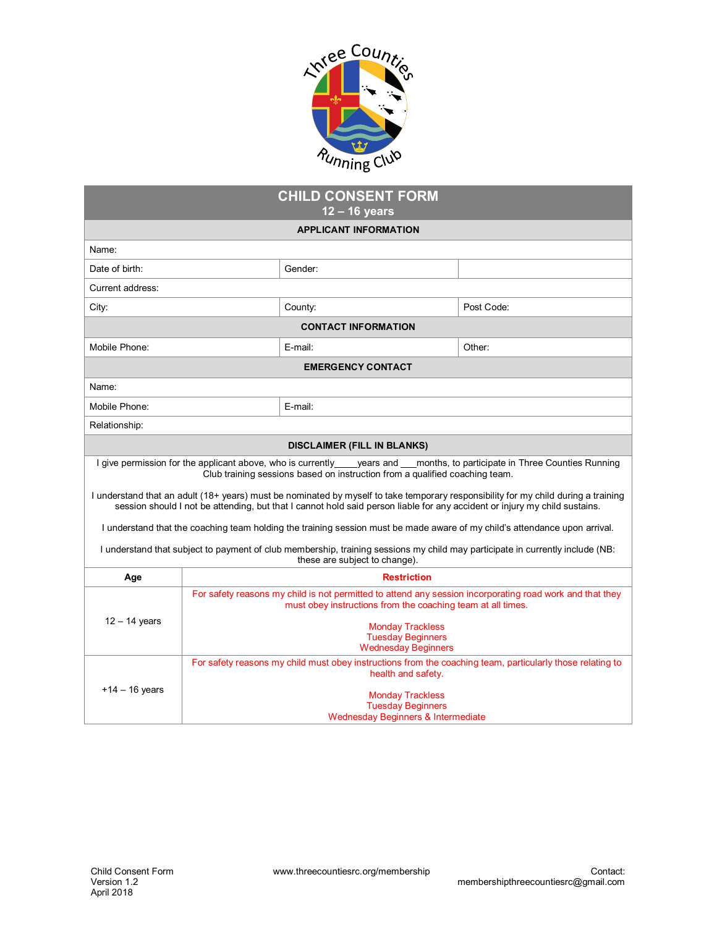

| <b>CHILD CONSENT FORM</b><br>$12 - 16$ years<br><b>APPLICANT INFORMATION</b>                                                                                                                                 |                                                                                                                                                                         |                                    |  |                                                                                                                                                                                                                                                                  |  |
|--------------------------------------------------------------------------------------------------------------------------------------------------------------------------------------------------------------|-------------------------------------------------------------------------------------------------------------------------------------------------------------------------|------------------------------------|--|------------------------------------------------------------------------------------------------------------------------------------------------------------------------------------------------------------------------------------------------------------------|--|
|                                                                                                                                                                                                              |                                                                                                                                                                         |                                    |  |                                                                                                                                                                                                                                                                  |  |
| Date of birth:                                                                                                                                                                                               |                                                                                                                                                                         | Gender:                            |  |                                                                                                                                                                                                                                                                  |  |
| Current address:                                                                                                                                                                                             |                                                                                                                                                                         |                                    |  |                                                                                                                                                                                                                                                                  |  |
| City:                                                                                                                                                                                                        |                                                                                                                                                                         | County:                            |  | Post Code:                                                                                                                                                                                                                                                       |  |
|                                                                                                                                                                                                              |                                                                                                                                                                         | <b>CONTACT INFORMATION</b>         |  |                                                                                                                                                                                                                                                                  |  |
| Mobile Phone:                                                                                                                                                                                                |                                                                                                                                                                         | E-mail:                            |  | Other:                                                                                                                                                                                                                                                           |  |
| <b>EMERGENCY CONTACT</b>                                                                                                                                                                                     |                                                                                                                                                                         |                                    |  |                                                                                                                                                                                                                                                                  |  |
| Name:                                                                                                                                                                                                        |                                                                                                                                                                         |                                    |  |                                                                                                                                                                                                                                                                  |  |
| Mobile Phone:                                                                                                                                                                                                |                                                                                                                                                                         | E-mail:                            |  |                                                                                                                                                                                                                                                                  |  |
| Relationship:                                                                                                                                                                                                |                                                                                                                                                                         |                                    |  |                                                                                                                                                                                                                                                                  |  |
|                                                                                                                                                                                                              |                                                                                                                                                                         | <b>DISCLAIMER (FILL IN BLANKS)</b> |  |                                                                                                                                                                                                                                                                  |  |
| I give permission for the applicant above, who is currently_____years and ___months, to participate in Three Counties Running<br>Club training sessions based on instruction from a qualified coaching team. |                                                                                                                                                                         |                                    |  |                                                                                                                                                                                                                                                                  |  |
|                                                                                                                                                                                                              |                                                                                                                                                                         |                                    |  | I understand that an adult (18+ years) must be nominated by myself to take temporary responsibility for my child during a training<br>session should I not be attending, but that I cannot hold said person liable for any accident or injury my child sustains. |  |
|                                                                                                                                                                                                              |                                                                                                                                                                         |                                    |  | I understand that the coaching team holding the training session must be made aware of my child's attendance upon arrival.                                                                                                                                       |  |
|                                                                                                                                                                                                              |                                                                                                                                                                         | these are subject to change).      |  | I understand that subject to payment of club membership, training sessions my child may participate in currently include (NB:                                                                                                                                    |  |
| Age                                                                                                                                                                                                          | <b>Restriction</b>                                                                                                                                                      |                                    |  |                                                                                                                                                                                                                                                                  |  |
|                                                                                                                                                                                                              | For safety reasons my child is not permitted to attend any session incorporating road work and that they<br>must obey instructions from the coaching team at all times. |                                    |  |                                                                                                                                                                                                                                                                  |  |
| $12 - 14$ years                                                                                                                                                                                              | <b>Monday Trackless</b><br><b>Tuesday Beginners</b><br><b>Wednesday Beginners</b>                                                                                       |                                    |  |                                                                                                                                                                                                                                                                  |  |
|                                                                                                                                                                                                              | For safety reasons my child must obey instructions from the coaching team, particularly those relating to<br>health and safety.                                         |                                    |  |                                                                                                                                                                                                                                                                  |  |
| $+14 - 16$ years                                                                                                                                                                                             | <b>Monday Trackless</b><br><b>Tuesday Beginners</b><br>Wednesday Beginners & Intermediate                                                                               |                                    |  |                                                                                                                                                                                                                                                                  |  |